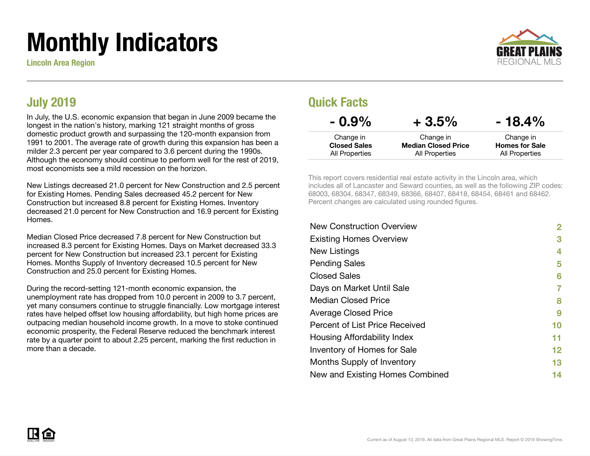# Monthly Indicators

Lincoln Area Region



#### July 2019

In July, the U.S. economic expansion that began in June 2009 became the longest in the nation's history, marking 121 straight months of gross domestic product growth and surpassing the 120-month expansion from 1991 to 2001. The average rate of growth during this expansion has been a milder 2.3 percent per year compared to 3.6 percent during the 1990s. Although the economy should continue to perform well for the rest of 2019, most economists see a mild recession on the horizon.

New Listings decreased 21.0 percent for New Construction and 2.5 percent for Existing Homes. Pending Sales decreased 45.2 percent for New Construction but increased 8.8 percent for Existing Homes. Inventory decreased 21.0 percent for New Construction and 16.9 percent for Existing **Homes** 

Median Closed Price decreased 7.8 percent for New Construction but increased 8.3 percent for Existing Homes. Days on Market decreased 33.3 percent for New Construction but increased 23.1 percent for Existing Homes. Months Supply of Inventory decreased 10.5 percent for New Construction and 25.0 percent for Existing Homes.

During the record-setting 121-month economic expansion, the unemployment rate has dropped from 10.0 percent in 2009 to 3.7 percent, yet many consumers continue to struggle financially. Low mortgage interest rates have helped offset low housing affordability, but high home prices are outpacing median household income growth. In a move to stoke continued economic prosperity, the Federal Reserve reduced the benchmark interest rate by a quarter point to about 2.25 percent, marking the first reduction in more than a decade.

#### Quick Facts

| $-0.9\%$            | $+3.5%$                    | $-18.4\%$             |
|---------------------|----------------------------|-----------------------|
| Change in           | Change in                  | Change in             |
| <b>Closed Sales</b> | <b>Median Closed Price</b> | <b>Homes for Sale</b> |
| All Properties      | <b>All Properties</b>      | All Properties        |

This report covers residential real estate activity in the Lincoln area, which includes all of Lancaster and Seward counties, as well as the following ZIP codes: 68003, 68304, 68347, 68349, 68366, 68407, 68418, 68454, 68461 and 68462. Percent changes are calculated using rounded figures.

| 2  |
|----|
| 3  |
| 4  |
| 5  |
| 6  |
| 7  |
| 8  |
| 9  |
| 10 |
| 11 |
| 12 |
| 13 |
| 14 |
|    |

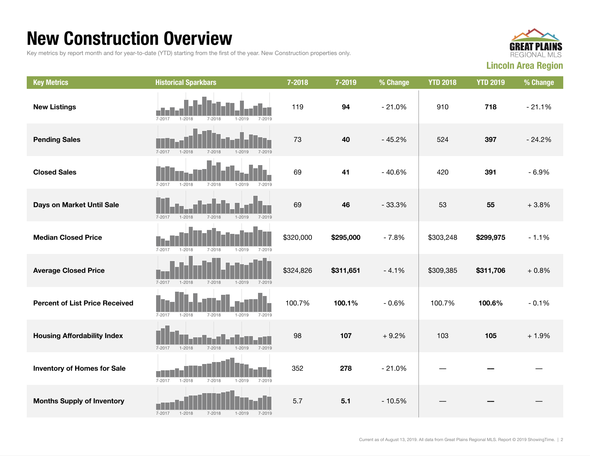### New Construction Overview

Key metrics by report month and for year-to-date (YTD) starting from the first of the year. New Construction properties only.



| <b>Key Metrics</b>                    | <b>Historical Sparkbars</b>                                        | 7-2018    | 7-2019    | % Change | <b>YTD 2018</b> | <b>YTD 2019</b> | % Change |
|---------------------------------------|--------------------------------------------------------------------|-----------|-----------|----------|-----------------|-----------------|----------|
| <b>New Listings</b>                   | $7 - 2017$<br>$1 - 2018$<br>$7 - 2018$<br>$1 - 2019$<br>$7 - 2019$ | 119       | 94        | $-21.0%$ | 910             | 718             | $-21.1%$ |
| <b>Pending Sales</b>                  | $7 - 2017$<br>$1 - 2018$<br>$7 - 2018$<br>$1 - 2019$<br>$7 - 2019$ | 73        | 40        | $-45.2%$ | 524             | 397             | $-24.2%$ |
| <b>Closed Sales</b>                   | $7 - 2017$<br>$1 - 2018$<br>$7 - 2018$<br>$1 - 2019$<br>$7 - 2019$ | 69        | 41        | $-40.6%$ | 420             | 391             | $-6.9%$  |
| Days on Market Until Sale             | $7 - 2018$<br>$1 - 2018$<br>$1 - 2019$<br>$7 - 2019$<br>7-2017     | 69        | 46        | $-33.3%$ | 53              | 55              | $+3.8%$  |
| <b>Median Closed Price</b>            | $7 - 2017$<br>$1 - 2018$<br>$7 - 2018$<br>$1 - 2019$<br>$7 - 2019$ | \$320,000 | \$295,000 | $-7.8%$  | \$303,248       | \$299,975       | $-1.1%$  |
| <b>Average Closed Price</b>           | 7-2017<br>$1 - 2018$<br>7-2018<br>$1 - 2019$<br>7-2019             | \$324,826 | \$311,651 | $-4.1%$  | \$309,385       | \$311,706       | $+0.8%$  |
| <b>Percent of List Price Received</b> | $7 - 2017$<br>$7 - 2018$<br>$1 - 2018$<br>$1 - 2019$<br>$7 - 2019$ | 100.7%    | 100.1%    | $-0.6%$  | 100.7%          | 100.6%          | $-0.1%$  |
| <b>Housing Affordability Index</b>    | $1 - 2018$<br>7-2018<br>$1 - 2019$<br>7-2019<br>7-2017             | 98        | 107       | $+9.2%$  | 103             | 105             | $+1.9%$  |
| <b>Inventory of Homes for Sale</b>    | $1 - 2018$<br>$7 - 2017$<br>$7 - 2018$<br>$1 - 2019$<br>$7 - 2019$ | 352       | 278       | $-21.0%$ |                 |                 |          |
| <b>Months Supply of Inventory</b>     | $7 - 2017$<br>$1 - 2018$<br>$7 - 2018$<br>$1 - 2019$<br>$7 - 2019$ | 5.7       | 5.1       | $-10.5%$ |                 |                 |          |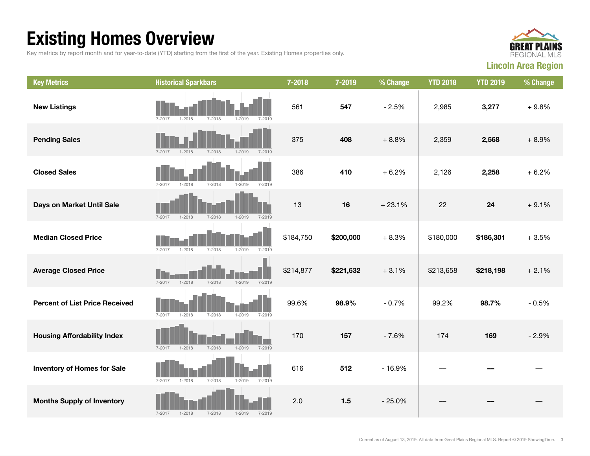## Existing Homes Overview

Key metrics by report month and for year-to-date (YTD) starting from the first of the year. Existing Homes properties only.



| <b>Key Metrics</b>                    | <b>Historical Sparkbars</b>                                        | 7-2018    | 7-2019    | % Change | <b>YTD 2018</b> | <b>YTD 2019</b> | % Change |
|---------------------------------------|--------------------------------------------------------------------|-----------|-----------|----------|-----------------|-----------------|----------|
| <b>New Listings</b>                   | $1 - 2018$<br>7-2017<br>$7 - 2018$<br>1-2019<br>7-2019             | 561       | 547       | $-2.5%$  | 2,985           | 3,277           | $+9.8%$  |
| <b>Pending Sales</b>                  | $7 - 2017$<br>$1 - 2018$<br>$1 - 2019$<br>$7 - 2018$<br>7-2019     | 375       | 408       | $+8.8%$  | 2,359           | 2,568           | $+8.9%$  |
| <b>Closed Sales</b>                   | $7 - 2017$<br>$1 - 2018$<br>$7 - 2018$<br>$1 - 2019$<br>$7 - 2019$ | 386       | 410       | $+6.2%$  | 2,126           | 2,258           | $+6.2%$  |
| Days on Market Until Sale             | $7 - 2017$<br>$7 - 2018$<br>$1 - 2019$<br>$7 - 2019$<br>1-2018     | 13        | 16        | $+23.1%$ | 22              | 24              | $+9.1%$  |
| <b>Median Closed Price</b>            | $7 - 2017$<br>$1 - 2018$<br>$7 - 2018$<br>$1 - 2019$<br>$7 - 2019$ | \$184,750 | \$200,000 | $+8.3%$  | \$180,000       | \$186,301       | $+3.5%$  |
| <b>Average Closed Price</b>           | H<br>$7 - 2017$<br>$1 - 2018$<br>7-2018<br>$1 - 2019$<br>7-2019    | \$214,877 | \$221,632 | $+3.1%$  | \$213,658       | \$218,198       | $+2.1%$  |
| <b>Percent of List Price Received</b> | $7 - 2017$<br>$1 - 2018$<br>$7 - 2018$<br>$1 - 2019$<br>$7 - 2019$ | 99.6%     | 98.9%     | $-0.7%$  | 99.2%           | 98.7%           | $-0.5%$  |
| <b>Housing Affordability Index</b>    | $7 - 2017$<br>$1 - 2018$<br>7-2018<br>$1 - 2019$<br>$7 - 2019$     | 170       | 157       | $-7.6%$  | 174             | 169             | $-2.9%$  |
| <b>Inventory of Homes for Sale</b>    | $7 - 2017$<br>$1 - 2018$<br>$7 - 2018$<br>$7 - 2019$<br>$1 - 2019$ | 616       | 512       | $-16.9%$ |                 |                 |          |
| <b>Months Supply of Inventory</b>     | $7 - 2017$<br>$1 - 2018$<br>$7 - 2018$<br>$1 - 2019$<br>$7 - 2019$ | 2.0       | 1.5       | $-25.0%$ |                 |                 |          |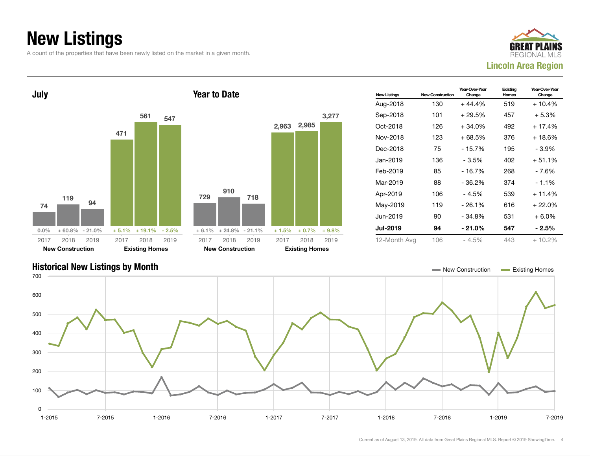## New Listings

A count of the properties that have been newly listed on the market in a given month.





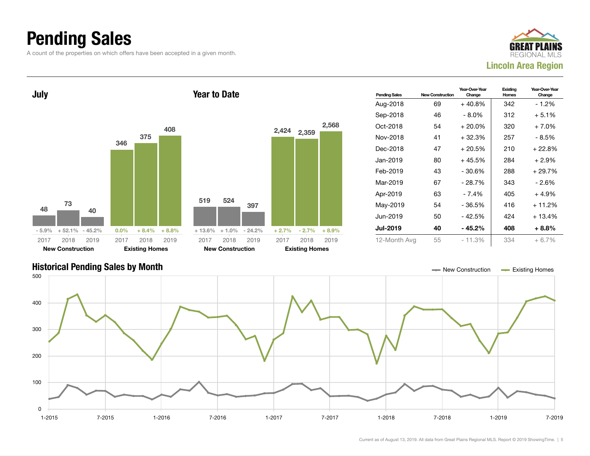### Pending Sales

A count of the properties on which offers have been accepted in a given month.





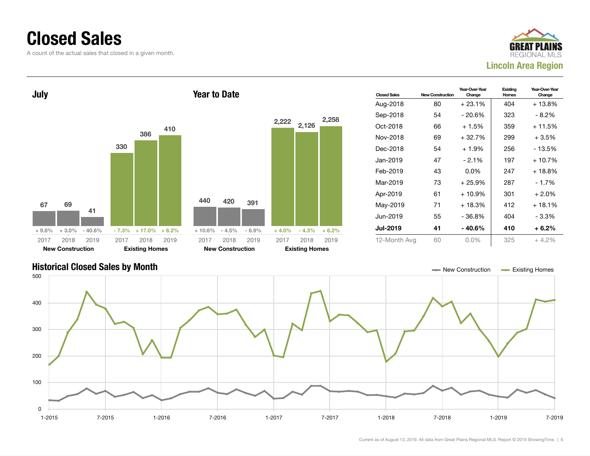### Closed Sales

A count of the actual sales that closed in a given month.





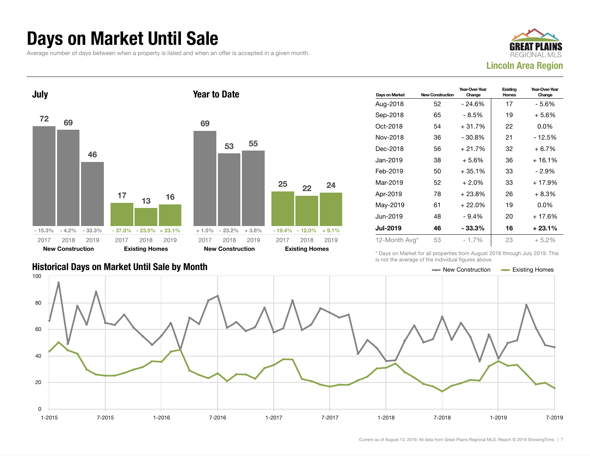#### Days on Market Until Sale

Average number of days between when a property is listed and when an offer is accepted in a given month.





| Days on Market  | <b>New Construction</b> | Year-Over-Year<br>Change | Existing<br>Homes | Year-Over-Year<br>Change |
|-----------------|-------------------------|--------------------------|-------------------|--------------------------|
| Aug-2018        | 52                      | $-24.6%$                 | 17                | - 5.6%                   |
| Sep-2018        | 65                      | - 8.5%                   | 19                | + 5.6%                   |
| Oct-2018        | 54                      | $+31.7%$                 | 22                | $0.0\%$                  |
| Nov-2018        | 36                      | $-30.8%$                 | 21                | $-12.5%$                 |
| Dec-2018        | 56                      | $+21.7%$                 | 32                | $+6.7%$                  |
| Jan-2019        | 38                      | $+5.6%$                  | 36                | $+16.1%$                 |
| Feb-2019        | 50                      | $+35.1%$                 | 33                | - 2.9%                   |
| Mar-2019        | 52                      | $+2.0%$                  | 33                | $+17.9%$                 |
| Apr-2019        | 78                      | + 23.8%                  | 26                | $+8.3%$                  |
| May-2019        | 61                      | $+22.0%$                 | 19                | $0.0\%$                  |
| Jun-2019        | 48                      | $-9.4%$                  | 20                | $+17.6%$                 |
| <b>Jul-2019</b> | 46                      | - 33.3%                  | 16                | + 23.1%                  |
| 12-Month Avg*   | 53                      | - 1.7%                   | 23                | $+5.2\%$                 |

Historical Days on Market Until Sale by Month New York 1999 and New Construction Access Existing Homes

\* Days on Market for all properties from August 2018 through July 2019. This is not the average of the individual figures above.

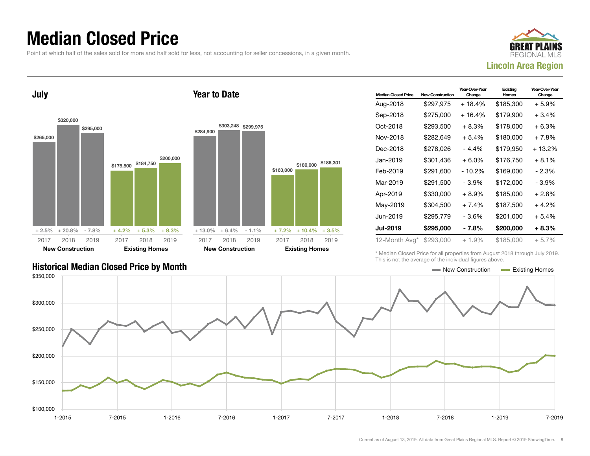### Median Closed Price

Point at which half of the sales sold for more and half sold for less, not accounting for seller concessions, in a given month.



July \$265,000 \$320,000 \$295,000  $+ 2.5\% + 20.8\% - 7.8\%$ \$175,500 \$184,750 \$200,000  $+4.2\%$   $+5.3\%$   $+8.3\%$ 2017 New Construction 2018 2019 2017 Existing Homes 2018 2019 Year to Date \$284,900 \$303,248 \$299,975  $+ 13.0\% + 6.4\% - 1.1\%$ \$163,000 \$180,000 \$186,301 + 7.2% + 10.4% + 3.5% 2017 New Construction 2018 2019 2017 Existing Homes 2018 2019

| <b>Median Closed Price</b> | <b>New Construction</b> | Year-Over-Year<br>Change | Existing<br>Homes | Year-Over-Year<br>Change |
|----------------------------|-------------------------|--------------------------|-------------------|--------------------------|
| Aug-2018                   | \$297,975               | + 18.4%                  | \$185,300         | + 5.9%                   |
| Sep-2018                   | \$275,000               | + 16.4%                  | \$179,900         | $+3.4%$                  |
| Oct-2018                   | \$293,500               | $+8.3%$                  | \$178,000         | + 6.3%                   |
| Nov-2018                   | \$282,649               | + 5.4%                   | \$180,000         | + 7.8%                   |
| Dec-2018                   | \$278.026               | $-4.4%$                  | \$179,950         | $+13.2%$                 |
| Jan-2019                   | \$301.436               | $+6.0\%$                 | \$176.750         | + 8.1%                   |
| Feb-2019                   | \$291,600               | - 10.2%                  | \$169,000         | - 2.3%                   |
| Mar-2019                   | \$291,500               | - 3.9%                   | \$172,000         | - 3.9%                   |
| Apr-2019                   | \$330,000               | $+8.9\%$                 | \$185,000         | + 2.8%                   |
| May-2019                   | \$304,500               | $+7.4%$                  | \$187,500         | + 4.2%                   |
| Jun-2019.                  | \$295,779               | - 3.6%                   | \$201.000         | + 5.4%                   |
| <b>Jul-2019</b>            | \$295,000               | - 7.8%                   | \$200,000         | + 8.3%                   |
| 12-Month Avg*              | \$293,000               | $+1.9\%$                 | \$185,000         | $+5.7%$                  |

\* Median Closed Price for all properties from August 2018 through July 2019. This is not the average of the individual figures above.

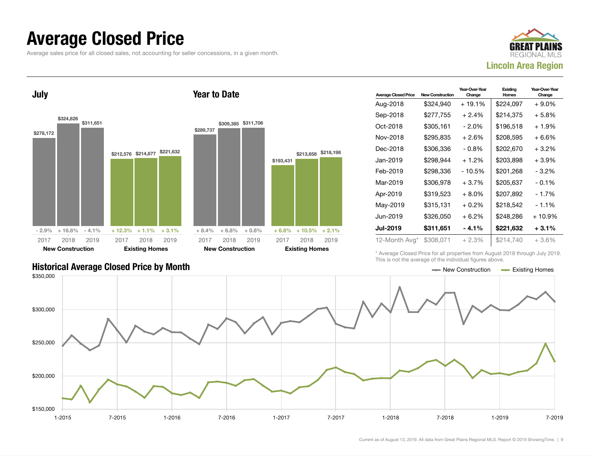#### Average Closed Price

Average sales price for all closed sales, not accounting for seller concessions, in a given month.



July



Year to Date

| <b>Average Closed Price</b> | <b>New Construction</b> | Year-Over-Year<br>Change | Existing<br>Homes | Year-Over-Year<br>Change |
|-----------------------------|-------------------------|--------------------------|-------------------|--------------------------|
| Aug-2018                    | \$324,940               | + 19.1%                  | \$224,097         | $+9.0%$                  |
| Sep-2018                    | \$277,755               | $+2.4%$                  | \$214,375         | $+5.8%$                  |
| Oct-2018                    | \$305,161               | - 2.0%                   | \$196,518         | $+1.9%$                  |
| Nov-2018                    | \$295,835               | $+2.6%$                  | \$208,595         | $+6.6%$                  |
| Dec-2018                    | \$306,336               | - 0.8%                   | \$202,670         | $+3.2%$                  |
| Jan-2019                    | \$298,944               | $+1.2\%$                 | \$203,898         | $+3.9\%$                 |
| Feb-2019                    | \$298.336               | - 10.5%                  | \$201,268         | $-3.2%$                  |
| Mar-2019                    | \$306,978               | $+3.7%$                  | \$205,637         | $-0.1%$                  |
| Apr-2019                    | \$319,523               | $+8.0%$                  | \$207,892         | - 1.7%                   |
| May-2019                    | \$315,131               | $+0.2%$                  | \$218,542         | $-1.1%$                  |
| Jun-2019.                   | \$326.050               | $+6.2\%$                 | \$248,286         | + 10.9%                  |
| <b>Jul-2019</b>             | \$311,651               | - 4.1%                   | \$221,632         | $+3.1%$                  |
| 12-Month Avg*               | \$308.071               | $+2.3%$                  | \$214.740         | $+3.6%$                  |

\* Average Closed Price for all properties from August 2018 through July 2019. This is not the average of the individual figures above.



#### Historical Average Closed Price by Month  $\blacksquare$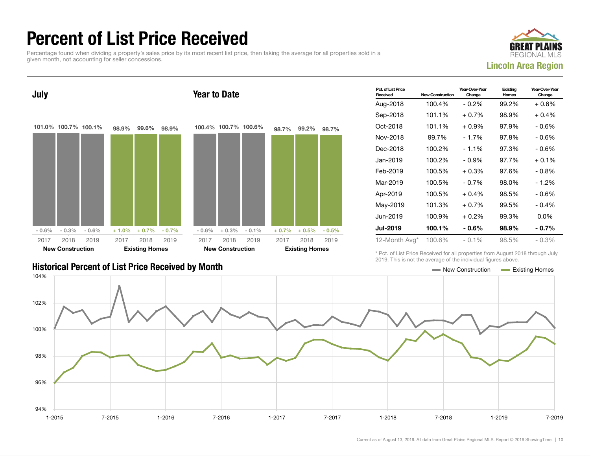### Percent of List Price Received

Percentage found when dividing a property's sales price by its most recent list price, then taking the average for all properties sold in a given month, not accounting for seller concessions.





| <b>Historical Percent of List Price Received by Month</b> | — New Construction | <b>Existing Homes</b> |
|-----------------------------------------------------------|--------------------|-----------------------|

| Pct. of List Price<br>Received | <b>New Construction</b> | Year-Over-Year<br>Change | Existing<br>Homes | Year-Over-Year<br>Change |
|--------------------------------|-------------------------|--------------------------|-------------------|--------------------------|
| Aug-2018                       | 100.4%                  | $-0.2\%$                 | 99.2%             | + 0.6%                   |
| Sep-2018                       | 101.1%                  | + 0.7%                   | 98.9%             | $+0.4\%$                 |
| Oct-2018                       | 101.1%                  | $+0.9%$                  | 97.9%             | $-0.6%$                  |
| Nov-2018                       | 99.7%                   | $-1.7%$                  | 97.8%             | $-0.6%$                  |
| Dec-2018                       | 100.2%                  | $-1.1\%$                 | 97.3%             | - 0.6%                   |
| Jan-2019                       | 100.2%                  | $-0.9%$                  | 97.7%             | $+0.1%$                  |
| Feb-2019                       | 100.5%                  | $+0.3%$                  | 97.6%             | $-0.8%$                  |
| Mar-2019                       | 100.5%                  | $-0.7\%$                 | 98.0%             | - 1.2%                   |
| Apr-2019                       | 100.5%                  | $+0.4%$                  | 98.5%             | $-0.6%$                  |
| May-2019                       | 101.3%                  | $+0.7%$                  | 99.5%             | $-0.4%$                  |
| Jun-2019                       | 100.9%                  | + 0.2%                   | 99.3%             | $0.0\%$                  |
| <b>Jul-2019</b>                | 100.1%                  | - 0.6%                   | 98.9%             | - 0.7%                   |
| 12-Month Avg*                  | 100.6%                  | $-0.1\%$                 | 98.5%             | $-0.3\%$                 |

\* Pct. of List Price Received for all properties from August 2018 through July 2019. This is not the average of the individual figures above.

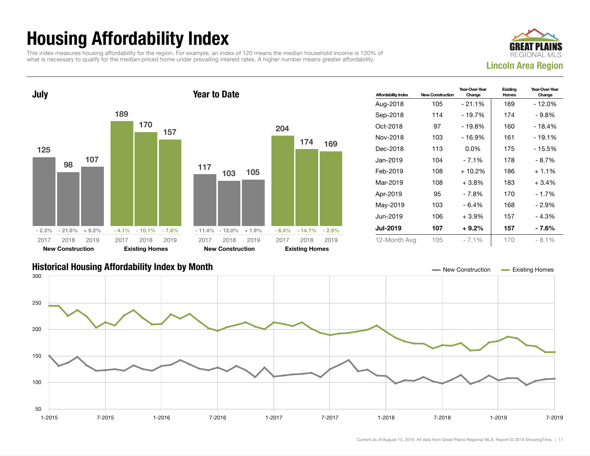## Housing Affordability Index

This index measures housing affordability for the region. For example, an index of 120 means the median household income is 120% of what is necessary to qualify for the median-priced home under prevailing interest rates. A higher number means greater affordability.





| <b>Affordability Index</b> | <b>New Construction</b> | Year-Over-Year<br>Existing<br><b>Homes</b><br>Change |     | Year-Over-Year<br>Change |
|----------------------------|-------------------------|------------------------------------------------------|-----|--------------------------|
| Aug-2018                   | 105                     | - 21.1%                                              | 169 | - 12.0%                  |
| Sep-2018                   | 114                     | $-19.7%$                                             | 174 | - 9.8%                   |
| Oct-2018                   | 97                      | $-19.8%$                                             | 160 | - 18.4%                  |
| Nov-2018                   | 103                     | - 16.9%                                              | 161 | - 19.1%                  |
| Dec-2018                   | 113                     | $0.0\%$                                              | 175 | - 15.5%                  |
| Jan-2019                   | 104                     | - 7.1%                                               | 178 | - 8.7%                   |
| Feb-2019                   | 108                     | $+10.2%$                                             | 186 | $+1.1%$                  |
| Mar-2019                   | 108                     | $+3.8\%$                                             | 183 | $+3.4%$                  |
| Apr-2019                   | 95                      | - 7.8%                                               | 170 | - 1.7%                   |
| May-2019                   | 103                     | - 6.4%                                               | 168 | - 2.9%                   |
| Jun-2019                   | 106                     | $+3.9\%$                                             | 157 | $-4.3%$                  |
| <b>Jul-2019</b>            | 107                     | $+9.2\%$                                             | 157 | - 7.6%                   |
| 12-Month Avg               | 105                     | $-7.1%$                                              | 170 | $-8.1%$                  |

#### Historical Housing Affordability Index by Month New Construction Existing Homes

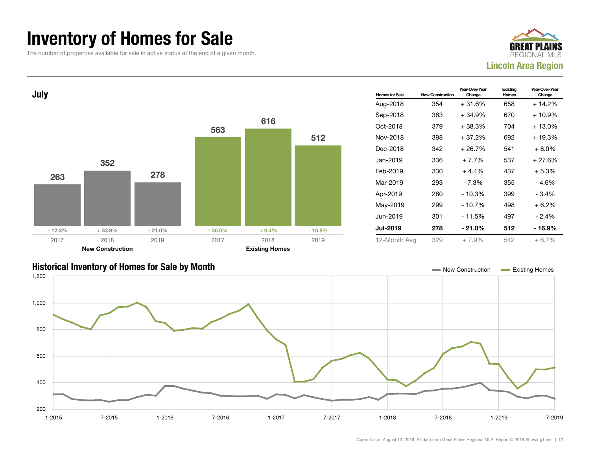### Inventory of Homes for Sale

The number of properties available for sale in active status at the end of a given month.





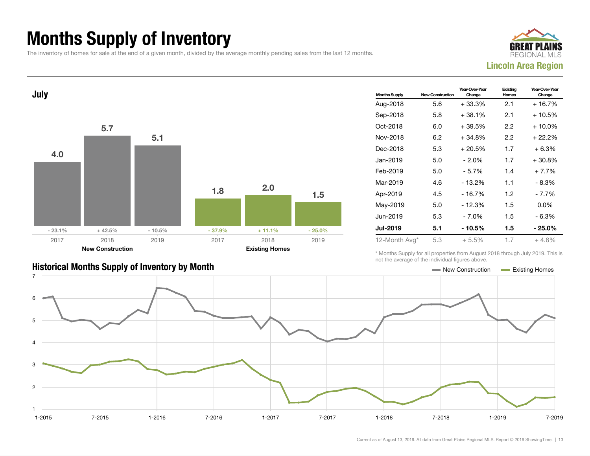### Months Supply of Inventory

The inventory of homes for sale at the end of a given month, divided by the average monthly pending sales from the last 12 months.





| <b>Months Supply</b> | <b>New Construction</b> | Year-Over-Year<br>Change | Existing<br>Homes | Year-Over-Year<br>Change |
|----------------------|-------------------------|--------------------------|-------------------|--------------------------|
| Aug-2018             | 5.6                     | $+33.3%$                 | 2.1               | $+16.7%$                 |
| Sep-2018             | 5.8                     | $+38.1%$                 | 2.1               | + 10.5%                  |
| Oct-2018             | 6.0                     | +39.5%                   | 2.2               | $+10.0\%$                |
| Nov-2018             | 6.2                     | $+34.8%$                 | 2.2               | + 22.2%                  |
| Dec-2018             | 5.3                     | $+20.5%$                 | 1.7               | + 6.3%                   |
| Jan-2019             | 5.0                     | $-2.0\%$                 | 1.7               | $+30.8\%$                |
| Feb-2019             | 5.0                     | $-5.7%$                  | 1.4               | + 7.7%                   |
| Mar-2019             | 4.6                     | $-13.2%$                 | 1.1               | - 8.3%                   |
| Apr-2019             | 4.5                     | $-16.7%$                 | 1.2               | - 7.7%                   |
| May-2019             | 5.0                     | $-12.3%$                 | 1.5               | $0.0\%$                  |
| Jun-2019             | 5.3                     | - 7.0%                   | 1.5               | $-6.3%$                  |
| <b>Jul-2019</b>      | 5.1                     | - 10.5%                  | 1.5               | - 25.0%                  |
| 12-Month Avg*        | 5.3                     | $+5.5%$                  | 1.7               | $+4.8%$                  |

Historical Months Supply of Inventory by Month New York New York New York New Construction Access Existing Homes

\* Months Supply for all properties from August 2018 through July 2019. This is not the average of the individual figures above.